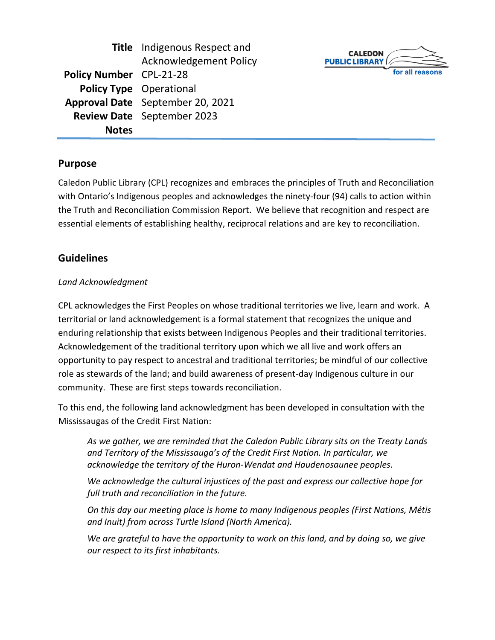|                                | <b>Title</b> Indigenous Respect and |
|--------------------------------|-------------------------------------|
|                                | <b>Acknowledgement Policy</b>       |
| <b>Policy Number</b> CPL-21-28 |                                     |
|                                | <b>Policy Type</b> Operational      |
|                                | Approval Date September 20, 2021    |
|                                | <b>Review Date</b> September 2023   |
| <b>Notes</b>                   |                                     |



## **Purpose**

Caledon Public Library (CPL) recognizes and embraces the principles of Truth and Reconciliation with Ontario's Indigenous peoples and acknowledges the ninety-four (94) calls to action within the Truth and Reconciliation Commission Report. We believe that recognition and respect are essential elements of establishing healthy, reciprocal relations and are key to reconciliation.

## **Guidelines**

### *Land Acknowledgment*

CPL acknowledges the First Peoples on whose traditional territories we live, learn and work. A territorial or land acknowledgement is a formal statement that recognizes the unique and enduring relationship that exists between Indigenous Peoples and their traditional territories. Acknowledgement of the traditional territory upon which we all live and work offers an opportunity to pay respect to ancestral and traditional territories; be mindful of our collective role as stewards of the land; and build awareness of present-day Indigenous culture in our community. These are first steps towards reconciliation.

To this end, the following land acknowledgment has been developed in consultation with the Mississaugas of the Credit First Nation:

*As we gather, we are reminded that the Caledon Public Library sits on the Treaty Lands and Territory of the Mississauga's of the Credit First Nation. In particular, we acknowledge the territory of the Huron-Wendat and Haudenosaunee peoples.*

*We acknowledge the cultural injustices of the past and express our collective hope for full truth and reconciliation in the future.*

*On this day our meeting place is home to many Indigenous peoples (First Nations, Métis and Inuit) from across Turtle Island (North America).*

*We are grateful to have the opportunity to work on this land, and by doing so, we give our respect to its first inhabitants.*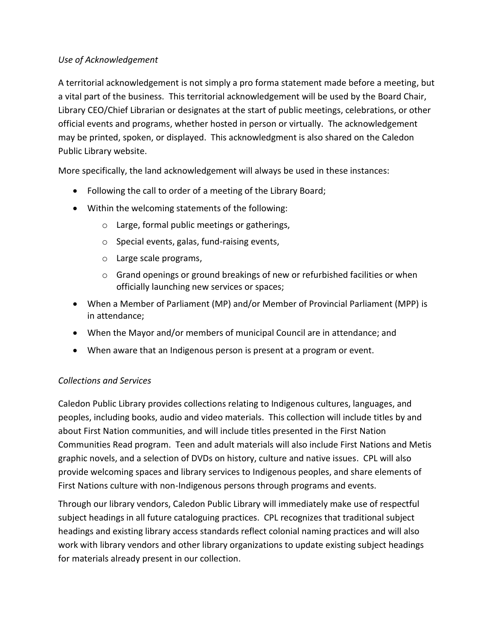### *Use of Acknowledgement*

A territorial acknowledgement is not simply a pro forma statement made before a meeting, but a vital part of the business. This territorial acknowledgement will be used by the Board Chair, Library CEO/Chief Librarian or designates at the start of public meetings, celebrations, or other official events and programs, whether hosted in person or virtually. The acknowledgement may be printed, spoken, or displayed. This acknowledgment is also shared on the Caledon Public Library website.

More specifically, the land acknowledgement will always be used in these instances:

- Following the call to order of a meeting of the Library Board;
- Within the welcoming statements of the following:
	- o Large, formal public meetings or gatherings,
	- o Special events, galas, fund-raising events,
	- o Large scale programs,
	- o Grand openings or ground breakings of new or refurbished facilities or when officially launching new services or spaces;
- When a Member of Parliament (MP) and/or Member of Provincial Parliament (MPP) is in attendance;
- When the Mayor and/or members of municipal Council are in attendance; and
- When aware that an Indigenous person is present at a program or event.

## *Collections and Services*

Caledon Public Library provides collections relating to Indigenous cultures, languages, and peoples, including books, audio and video materials. This collection will include titles by and about First Nation communities, and will include titles presented in the First Nation Communities Read program. Teen and adult materials will also include First Nations and Metis graphic novels, and a selection of DVDs on history, culture and native issues. CPL will also provide welcoming spaces and library services to Indigenous peoples, and share elements of First Nations culture with non-Indigenous persons through programs and events.

Through our library vendors, Caledon Public Library will immediately make use of respectful subject headings in all future cataloguing practices. CPL recognizes that traditional subject headings and existing library access standards reflect colonial naming practices and will also work with library vendors and other library organizations to update existing subject headings for materials already present in our collection.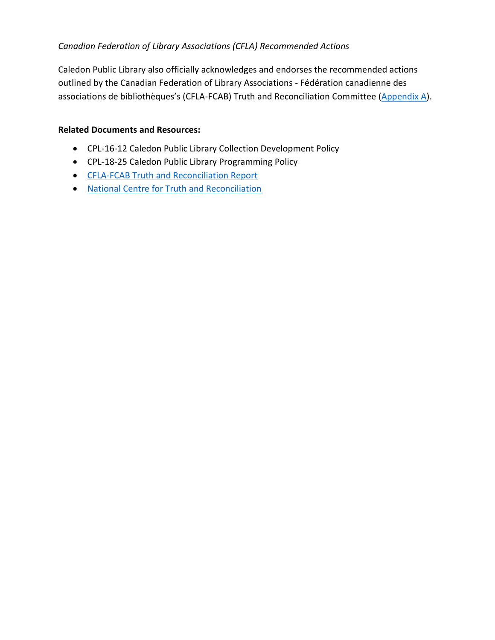### *Canadian Federation of Library Associations (CFLA) Recommended Actions*

Caledon Public Library also officially acknowledges and endorses the recommended actions outlined by the Canadian Federation of Library Associations - Fédération canadienne des associations de bibliothèques's (CFLA-FCAB) Truth and Reconciliation Committee [\(Appendix A\)](#page-2-0).

#### **Related Documents and Resources:**

- CPL-16-12 Caledon Public Library Collection Development Policy
- CPL-18-25 Caledon Public Library Programming Policy
- [CFLA-FCAB Truth and Reconciliation Report](https://cfla-fcab.ca/wp-content/uploads/2017/04/Truth-and-Reconciliation-Committee-Report-and-Recommendations.pdf)
- <span id="page-2-0"></span>• [National Centre for Truth and Reconciliation](https://nctr.ca/)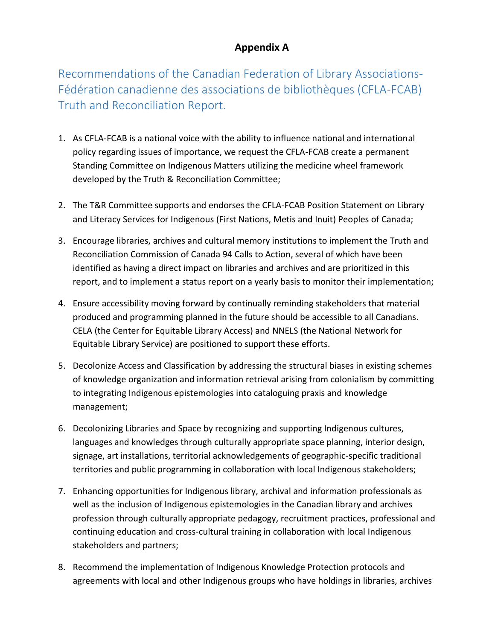# **Appendix A**

Recommendations of the Canadian Federation of Library Associations-Fédération canadienne des associations de bibliothèques (CFLA-FCAB) Truth and Reconciliation Report.

- 1. As CFLA-FCAB is a national voice with the ability to influence national and international policy regarding issues of importance, we request the CFLA-FCAB create a permanent Standing Committee on Indigenous Matters utilizing the medicine wheel framework developed by the Truth & Reconciliation Committee;
- 2. The T&R Committee supports and endorses the CFLA-FCAB Position Statement on Library and Literacy Services for Indigenous (First Nations, Metis and Inuit) Peoples of Canada;
- 3. Encourage libraries, archives and cultural memory institutions to implement the Truth and Reconciliation Commission of Canada 94 Calls to Action, several of which have been identified as having a direct impact on libraries and archives and are prioritized in this report, and to implement a status report on a yearly basis to monitor their implementation;
- 4. Ensure accessibility moving forward by continually reminding stakeholders that material produced and programming planned in the future should be accessible to all Canadians. CELA (the Center for Equitable Library Access) and NNELS (the National Network for Equitable Library Service) are positioned to support these efforts.
- 5. Decolonize Access and Classification by addressing the structural biases in existing schemes of knowledge organization and information retrieval arising from colonialism by committing to integrating Indigenous epistemologies into cataloguing praxis and knowledge management;
- 6. Decolonizing Libraries and Space by recognizing and supporting Indigenous cultures, languages and knowledges through culturally appropriate space planning, interior design, signage, art installations, territorial acknowledgements of geographic-specific traditional territories and public programming in collaboration with local Indigenous stakeholders;
- 7. Enhancing opportunities for Indigenous library, archival and information professionals as well as the inclusion of Indigenous epistemologies in the Canadian library and archives profession through culturally appropriate pedagogy, recruitment practices, professional and continuing education and cross-cultural training in collaboration with local Indigenous stakeholders and partners;
- 8. Recommend the implementation of Indigenous Knowledge Protection protocols and agreements with local and other Indigenous groups who have holdings in libraries, archives